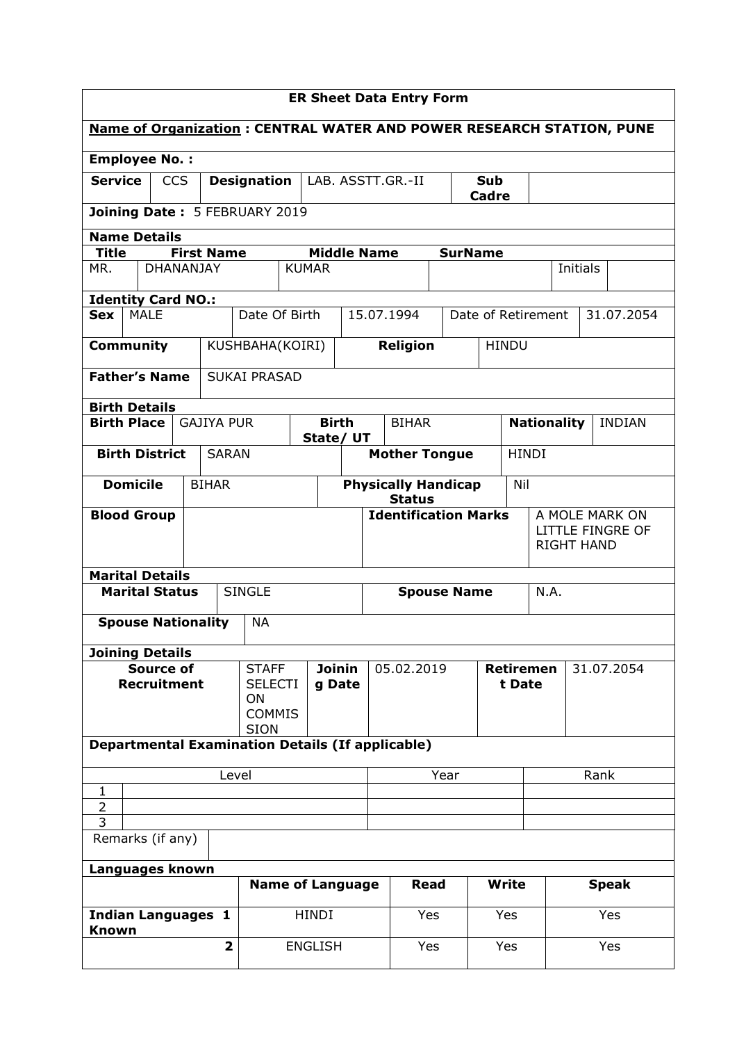| <b>ER Sheet Data Entry Form</b>                                                                                           |                                                                                  |                                                       |                                                   |                                |                         |                         |                                              |                 |            |     |                                          |                                              |          |               |  |
|---------------------------------------------------------------------------------------------------------------------------|----------------------------------------------------------------------------------|-------------------------------------------------------|---------------------------------------------------|--------------------------------|-------------------------|-------------------------|----------------------------------------------|-----------------|------------|-----|------------------------------------------|----------------------------------------------|----------|---------------|--|
| <b>Name of Organization: CENTRAL WATER AND POWER RESEARCH STATION, PUNE</b>                                               |                                                                                  |                                                       |                                                   |                                |                         |                         |                                              |                 |            |     |                                          |                                              |          |               |  |
| <b>Employee No.:</b>                                                                                                      |                                                                                  |                                                       |                                                   |                                |                         |                         |                                              |                 |            |     |                                          |                                              |          |               |  |
| <b>Service</b>                                                                                                            |                                                                                  | <b>CCS</b><br>LAB. ASSTT.GR.-II<br><b>Designation</b> |                                                   |                                |                         |                         |                                              |                 | <b>Sub</b> |     |                                          |                                              |          |               |  |
|                                                                                                                           | Cadre<br>Joining Date: 5 FEBRUARY 2019                                           |                                                       |                                                   |                                |                         |                         |                                              |                 |            |     |                                          |                                              |          |               |  |
|                                                                                                                           | <b>Name Details</b><br><b>First Name</b><br><b>Middle Name</b><br><b>SurName</b> |                                                       |                                                   |                                |                         |                         |                                              |                 |            |     |                                          |                                              |          |               |  |
| <b>Title</b><br>MR.                                                                                                       |                                                                                  | DHANANJAY                                             |                                                   |                                | <b>KUMAR</b>            |                         |                                              |                 |            |     |                                          |                                              | Initials |               |  |
|                                                                                                                           |                                                                                  |                                                       |                                                   |                                |                         |                         |                                              |                 |            |     |                                          |                                              |          |               |  |
| <b>Identity Card NO.:</b><br><b>MALE</b><br>Date Of Birth<br>15.07.1994<br>Date of Retirement<br>31.07.2054<br><b>Sex</b> |                                                                                  |                                                       |                                                   |                                |                         |                         |                                              |                 |            |     |                                          |                                              |          |               |  |
|                                                                                                                           |                                                                                  |                                                       |                                                   |                                |                         |                         |                                              |                 |            |     |                                          |                                              |          |               |  |
|                                                                                                                           | Community                                                                        |                                                       |                                                   | KUSHBAHA(KOIRI)                |                         |                         |                                              | <b>Religion</b> |            |     | <b>HINDU</b>                             |                                              |          |               |  |
|                                                                                                                           | <b>Father's Name</b>                                                             |                                                       |                                                   | <b>SUKAI PRASAD</b>            |                         |                         |                                              |                 |            |     |                                          |                                              |          |               |  |
|                                                                                                                           | <b>Birth Details</b>                                                             |                                                       |                                                   |                                |                         |                         |                                              |                 |            |     |                                          |                                              |          |               |  |
|                                                                                                                           | <b>Birth Place</b>                                                               |                                                       | <b>GAJIYA PUR</b>                                 |                                | State/ UT               | <b>Birth</b>            |                                              | <b>BIHAR</b>    |            |     |                                          | <b>Nationality</b>                           |          | <b>INDIAN</b> |  |
|                                                                                                                           | <b>Birth District</b>                                                            |                                                       | <b>SARAN</b>                                      | <b>Mother Tongue</b>           |                         |                         |                                              |                 |            |     | <b>HINDI</b>                             |                                              |          |               |  |
|                                                                                                                           | <b>Domicile</b>                                                                  |                                                       | <b>Physically Handicap</b><br>Nil<br><b>BIHAR</b> |                                |                         |                         |                                              |                 |            |     |                                          |                                              |          |               |  |
|                                                                                                                           | <b>Blood Group</b>                                                               |                                                       |                                                   |                                |                         |                         | <b>Status</b><br><b>Identification Marks</b> |                 |            |     | A MOLE MARK ON                           |                                              |          |               |  |
|                                                                                                                           |                                                                                  |                                                       |                                                   |                                |                         |                         |                                              |                 |            |     |                                          | <b>LITTLE FINGRE OF</b><br><b>RIGHT HAND</b> |          |               |  |
|                                                                                                                           |                                                                                  |                                                       |                                                   |                                |                         |                         |                                              |                 |            |     |                                          |                                              |          |               |  |
|                                                                                                                           | <b>Marital Details</b><br><b>Marital Status</b>                                  |                                                       |                                                   | <b>SINGLE</b>                  |                         |                         |                                              |                 |            |     |                                          | N.A.                                         |          |               |  |
|                                                                                                                           |                                                                                  |                                                       |                                                   |                                |                         |                         | <b>Spouse Name</b>                           |                 |            |     |                                          |                                              |          |               |  |
|                                                                                                                           | <b>Spouse Nationality</b>                                                        |                                                       |                                                   | <b>NA</b>                      |                         |                         |                                              |                 |            |     |                                          |                                              |          |               |  |
|                                                                                                                           | <b>Joining Details</b>                                                           |                                                       |                                                   |                                |                         |                         |                                              |                 |            |     |                                          |                                              |          |               |  |
|                                                                                                                           | <b>Source of</b><br><b>Recruitment</b>                                           |                                                       |                                                   | <b>STAFF</b><br><b>SELECTI</b> |                         | <b>Joinin</b><br>g Date | 05.02.2019                                   |                 |            |     | <b>Retiremen</b><br>31.07.2054<br>t Date |                                              |          |               |  |
|                                                                                                                           |                                                                                  |                                                       |                                                   | <b>ON</b>                      |                         |                         |                                              |                 |            |     |                                          |                                              |          |               |  |
| <b>COMMIS</b><br><b>SION</b>                                                                                              |                                                                                  |                                                       |                                                   |                                |                         |                         |                                              |                 |            |     |                                          |                                              |          |               |  |
| <b>Departmental Examination Details (If applicable)</b>                                                                   |                                                                                  |                                                       |                                                   |                                |                         |                         |                                              |                 |            |     |                                          |                                              |          |               |  |
| Year<br>Level<br>Rank                                                                                                     |                                                                                  |                                                       |                                                   |                                |                         |                         |                                              |                 |            |     |                                          |                                              |          |               |  |
| $\overline{2}$                                                                                                            | 1                                                                                |                                                       |                                                   |                                |                         |                         |                                              |                 |            |     |                                          |                                              |          |               |  |
| 3                                                                                                                         |                                                                                  |                                                       |                                                   |                                |                         |                         |                                              |                 |            |     |                                          |                                              |          |               |  |
| Remarks (if any)                                                                                                          |                                                                                  |                                                       |                                                   |                                |                         |                         |                                              |                 |            |     |                                          |                                              |          |               |  |
|                                                                                                                           | Languages known                                                                  |                                                       |                                                   |                                |                         |                         |                                              | Read            |            |     |                                          |                                              |          |               |  |
|                                                                                                                           |                                                                                  |                                                       |                                                   |                                | <b>Name of Language</b> |                         |                                              |                 |            |     | <b>Write</b>                             |                                              |          | <b>Speak</b>  |  |
| <b>Known</b>                                                                                                              | <b>Indian Languages 1</b>                                                        |                                                       |                                                   |                                | <b>HINDI</b>            |                         |                                              | Yes             |            | Yes |                                          | Yes                                          |          |               |  |
|                                                                                                                           |                                                                                  |                                                       | $\overline{\mathbf{2}}$                           |                                | <b>ENGLISH</b>          |                         |                                              | Yes             |            | Yes |                                          |                                              |          | Yes           |  |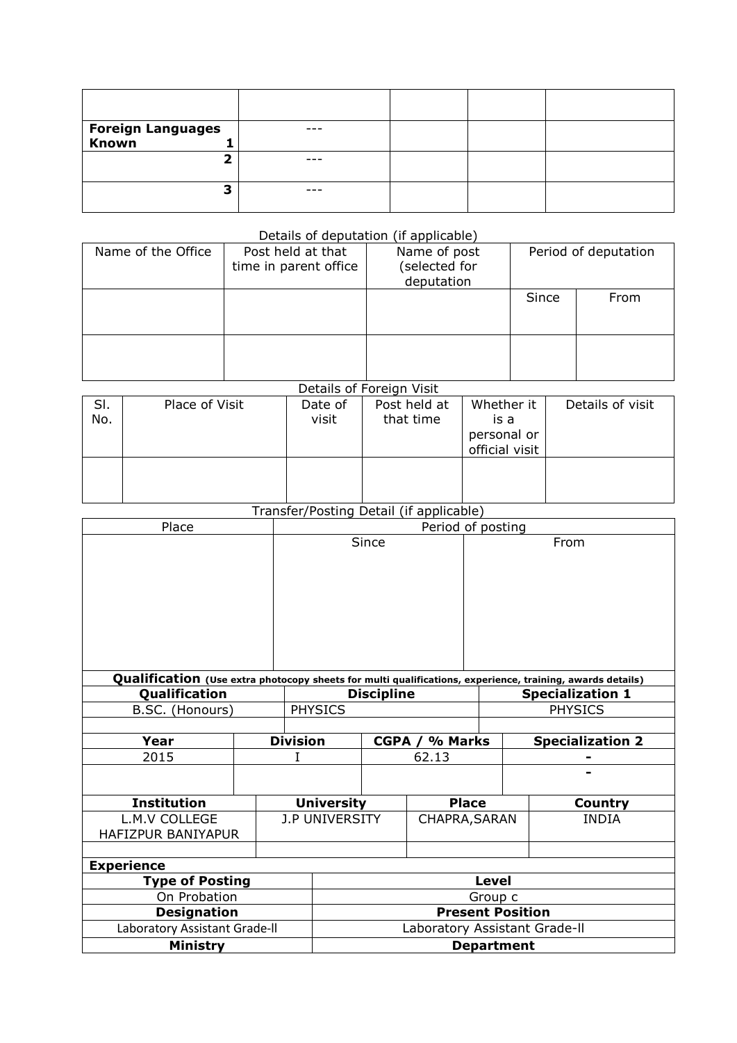| Foreign Languages<br>Known |  |  |
|----------------------------|--|--|
|                            |  |  |
| -                          |  |  |
|                            |  |  |
| 3                          |  |  |
|                            |  |  |

## Details of deputation (if applicable)

| Name of the Office | Post held at that<br>time in parent office | Name of post<br>selected for)<br>deputation |       | Period of deputation |
|--------------------|--------------------------------------------|---------------------------------------------|-------|----------------------|
|                    |                                            |                                             | Since | From                 |
|                    |                                            |                                             |       |                      |

## Details of Foreign Visit

| SI.<br>No. | Place of Visit | Date of<br>visit | Post held at<br>that time | Whether it<br>is a<br>personal or<br>official visit | Details of visit |
|------------|----------------|------------------|---------------------------|-----------------------------------------------------|------------------|
|            |                |                  |                           |                                                     |                  |

## Transfer/Posting Detail (if applicable)

| Place                         |                               |                 | Period of posting     |                   |               |                         |                                                                                                           |  |  |
|-------------------------------|-------------------------------|-----------------|-----------------------|-------------------|---------------|-------------------------|-----------------------------------------------------------------------------------------------------------|--|--|
|                               |                               | Since           |                       |                   |               | From                    |                                                                                                           |  |  |
|                               |                               |                 |                       |                   |               |                         |                                                                                                           |  |  |
|                               |                               |                 |                       |                   |               |                         |                                                                                                           |  |  |
|                               |                               |                 |                       |                   |               |                         |                                                                                                           |  |  |
|                               |                               |                 |                       |                   |               |                         | Qualification (Use extra photocopy sheets for multi qualifications, experience, training, awards details) |  |  |
| Qualification                 |                               |                 |                       | <b>Discipline</b> |               | <b>Specialization 1</b> |                                                                                                           |  |  |
| B.SC. (Honours)               |                               |                 | <b>PHYSICS</b>        |                   |               | <b>PHYSICS</b>          |                                                                                                           |  |  |
|                               |                               |                 |                       |                   |               |                         |                                                                                                           |  |  |
| Year                          |                               | <b>Division</b> | % Marks<br>CGPA /     |                   |               |                         | <b>Specialization 2</b>                                                                                   |  |  |
| 2015                          |                               |                 |                       |                   | 62.13         |                         |                                                                                                           |  |  |
|                               |                               |                 |                       |                   |               |                         |                                                                                                           |  |  |
| <b>Institution</b>            |                               |                 | <b>University</b>     |                   | <b>Place</b>  |                         | <b>Country</b>                                                                                            |  |  |
| L.M.V COLLEGE                 |                               |                 | <b>J.P UNIVERSITY</b> |                   | CHAPRA, SARAN |                         | <b>INDIA</b>                                                                                              |  |  |
| HAFIZPUR BANIYAPUR            |                               |                 |                       |                   |               |                         |                                                                                                           |  |  |
|                               |                               |                 |                       |                   |               |                         |                                                                                                           |  |  |
| <b>Experience</b>             |                               |                 |                       |                   |               |                         |                                                                                                           |  |  |
| <b>Type of Posting</b>        | <b>Level</b>                  |                 |                       |                   |               |                         |                                                                                                           |  |  |
| On Probation                  |                               |                 |                       | Group c           |               |                         |                                                                                                           |  |  |
| <b>Designation</b>            | <b>Present Position</b>       |                 |                       |                   |               |                         |                                                                                                           |  |  |
| Laboratory Assistant Grade-II | Laboratory Assistant Grade-II |                 |                       |                   |               |                         |                                                                                                           |  |  |
| <b>Ministry</b>               | <b>Department</b>             |                 |                       |                   |               |                         |                                                                                                           |  |  |